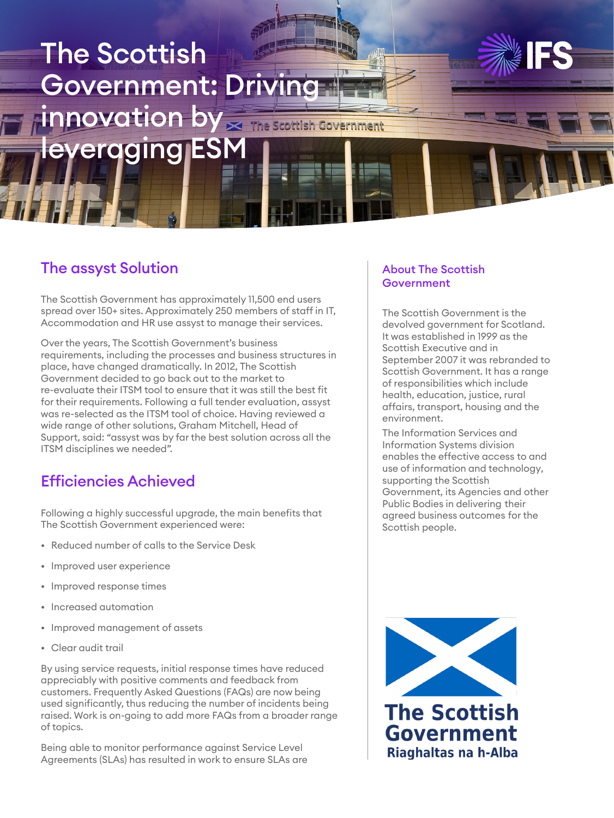# The Scottish Government: Driving innovation by Fine scottish Government everaging ESM

### The assyst Solution

The Scottish Government has approximately 11,500 end users spread over 150+ sites. Approximately 250 members of staff in IT, Accommodation and HR use assyst to manage their services.

Over the years, The Scottish Government's business requirements, including the processes and business structures in place, have changed dramatically. In 2012, The Scottish Government decided to go back out to the market to re-evaluate their ITSM tool to ensure that it was still the best fit for their requirements. Following a full tender evaluation, assyst was re-selected as the ITSM tool of choice. Having reviewed a wide range of other solutions, Graham Mitchell, Head of Support, said: "assyst was by far the best solution across all the ITSM disciplines we needed".

#### Efficiencies Achieved

Following a highly successful upgrade, the main benefits that The Scottish Government experienced were:

- Reduced number of calls to the Service Desk
- Improved user experience
- Improved response times
- Increased automation
- Improved management of assets
- Clear audit trail

By using service requests, initial response times have reduced appreciably with positive comments and feedback from customers. Frequently Asked Questions (FAQs) are now being used significantly, thus reducing the number of incidents being raised. Work is on-going to add more FAQs from a broader range of topics.

Being able to monitor performance against Service Level Agreements (SLAs) has resulted in work to ensure SLAs are

#### About The Scottish **Government**

The Scottish Government is the devolved government for Scotland. It was established in 1999 as the Scottish Executive and in September 2007 it was rebranded to Scottish Government. It has a range of responsibilities which include health, education, justice, rural affairs, transport, housing and the environment.

The Information Services and Information Systems division enables the effective access to and use of information and technology, supporting the Scottish Government, its Agencies and other Public Bodies in delivering their agreed business outcomes for the Scottish people.